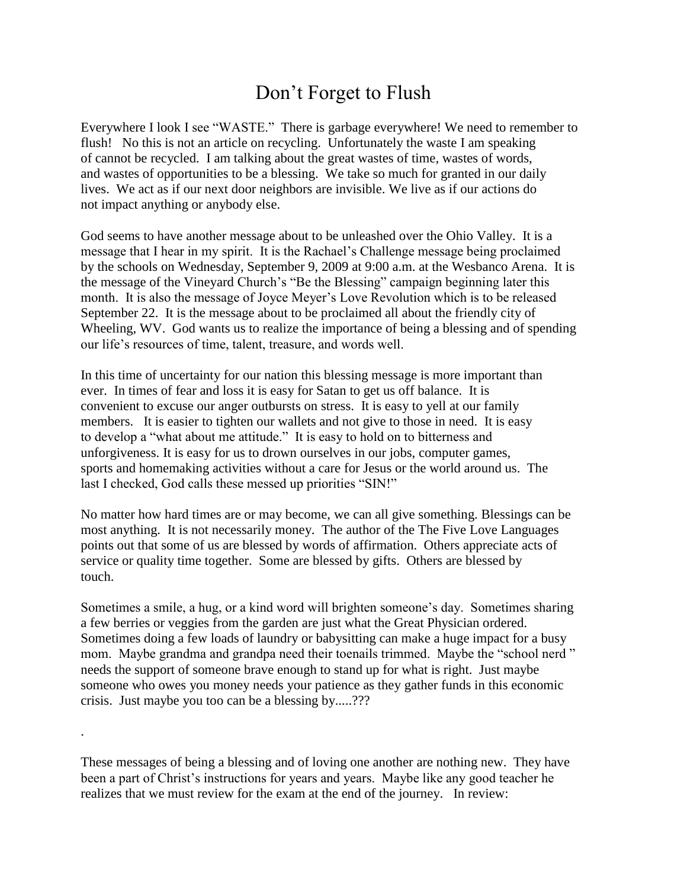## Don't Forget to Flush

Everywhere I look I see "WASTE." There is garbage everywhere! We need to remember to flush! No this is not an article on recycling. Unfortunately the waste I am speaking of cannot be recycled. I am talking about the great wastes of time, wastes of words, and wastes of opportunities to be a blessing. We take so much for granted in our daily lives. We act as if our next door neighbors are invisible. We live as if our actions do not impact anything or anybody else.

God seems to have another message about to be unleashed over the Ohio Valley. It is a message that I hear in my spirit. It is the Rachael's Challenge message being proclaimed by the schools on Wednesday, September 9, 2009 at 9:00 a.m. at the Wesbanco Arena. It is the message of the Vineyard Church's "Be the Blessing" campaign beginning later this month. It is also the message of Joyce Meyer's Love Revolution which is to be released September 22. It is the message about to be proclaimed all about the friendly city of Wheeling, WV. God wants us to realize the importance of being a blessing and of spending our life's resources of time, talent, treasure, and words well.

In this time of uncertainty for our nation this blessing message is more important than ever. In times of fear and loss it is easy for Satan to get us off balance. It is convenient to excuse our anger outbursts on stress. It is easy to yell at our family members. It is easier to tighten our wallets and not give to those in need. It is easy to develop a "what about me attitude." It is easy to hold on to bitterness and unforgiveness. It is easy for us to drown ourselves in our jobs, computer games, sports and homemaking activities without a care for Jesus or the world around us. The last I checked, God calls these messed up priorities "SIN!"

No matter how hard times are or may become, we can all give something. Blessings can be most anything. It is not necessarily money. The author of the The Five Love Languages points out that some of us are blessed by words of affirmation. Others appreciate acts of service or quality time together. Some are blessed by gifts. Others are blessed by touch.

Sometimes a smile, a hug, or a kind word will brighten someone's day. Sometimes sharing a few berries or veggies from the garden are just what the Great Physician ordered. Sometimes doing a few loads of laundry or babysitting can make a huge impact for a busy mom. Maybe grandma and grandpa need their toenails trimmed. Maybe the "school nerd " needs the support of someone brave enough to stand up for what is right. Just maybe someone who owes you money needs your patience as they gather funds in this economic crisis. Just maybe you too can be a blessing by.....???

These messages of being a blessing and of loving one another are nothing new. They have been a part of Christ's instructions for years and years. Maybe like any good teacher he realizes that we must review for the exam at the end of the journey. In review:

.